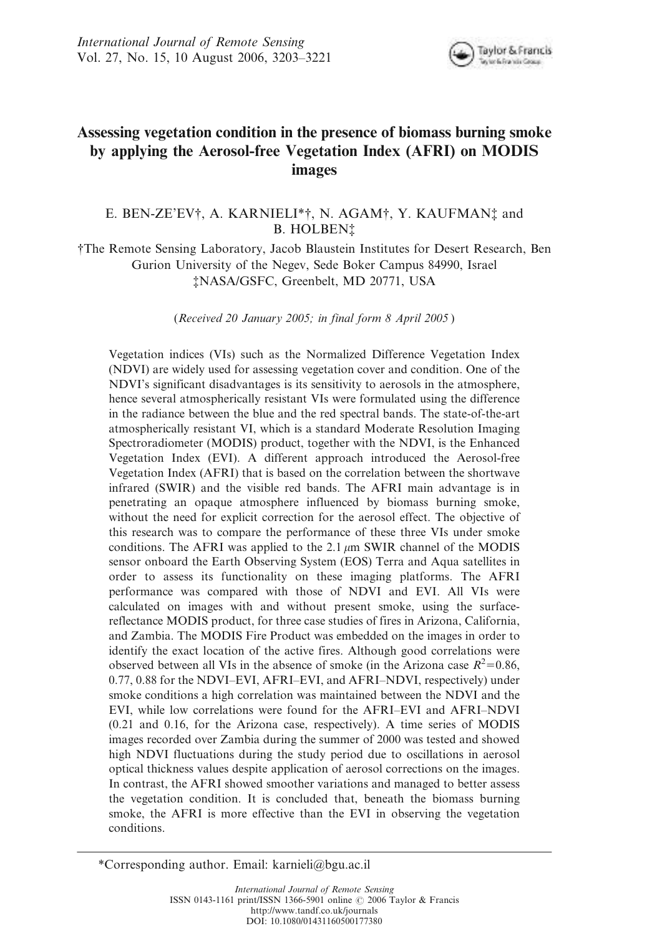

# Assessing vegetation condition in the presence of biomass burning smoke by applying the Aerosol-free Vegetation Index (AFRI) on MODIS images

# E. BEN-ZE'EV†, A. KARNIELI\*†, N. AGAM†, Y. KAUFMAN‡ and **B. HOLBEN**<sup>†</sup>

{The Remote Sensing Laboratory, Jacob Blaustein Institutes for Desert Research, Ben Gurion University of the Negev, Sede Boker Campus 84990, Israel {NASA/GSFC, Greenbelt, MD 20771, USA

(*Received 20 January 2005; in final form 8 April 2005* )

Vegetation indices (VIs) such as the Normalized Difference Vegetation Index (NDVI) are widely used for assessing vegetation cover and condition. One of the NDVI's significant disadvantages is its sensitivity to aerosols in the atmosphere, hence several atmospherically resistant VIs were formulated using the difference in the radiance between the blue and the red spectral bands. The state-of-the-art atmospherically resistant VI, which is a standard Moderate Resolution Imaging Spectroradiometer (MODIS) product, together with the NDVI, is the Enhanced Vegetation Index (EVI). A different approach introduced the Aerosol-free Vegetation Index (AFRI) that is based on the correlation between the shortwave infrared (SWIR) and the visible red bands. The AFRI main advantage is in penetrating an opaque atmosphere influenced by biomass burning smoke, without the need for explicit correction for the aerosol effect. The objective of this research was to compare the performance of these three VIs under smoke conditions. The AFRI was applied to the 2.1  $\mu$ m SWIR channel of the MODIS sensor onboard the Earth Observing System (EOS) Terra and Aqua satellites in order to assess its functionality on these imaging platforms. The AFRI performance was compared with those of NDVI and EVI. All VIs were calculated on images with and without present smoke, using the surfacereflectance MODIS product, for three case studies of fires in Arizona, California, and Zambia. The MODIS Fire Product was embedded on the images in order to identify the exact location of the active fires. Although good correlations were observed between all VIs in the absence of smoke (in the Arizona case  $R^2$ =0.86, 0.77, 0.88 for the NDVI–EVI, AFRI–EVI, and AFRI–NDVI, respectively) under smoke conditions a high correlation was maintained between the NDVI and the EVI, while low correlations were found for the AFRI–EVI and AFRI–NDVI (0.21 and 0.16, for the Arizona case, respectively). A time series of MODIS images recorded over Zambia during the summer of 2000 was tested and showed high NDVI fluctuations during the study period due to oscillations in aerosol optical thickness values despite application of aerosol corrections on the images. In contrast, the AFRI showed smoother variations and managed to better assess the vegetation condition. It is concluded that, beneath the biomass burning smoke, the AFRI is more effective than the EVI in observing the vegetation conditions.

\*Corresponding author. Email: karnieli@bgu.ac.il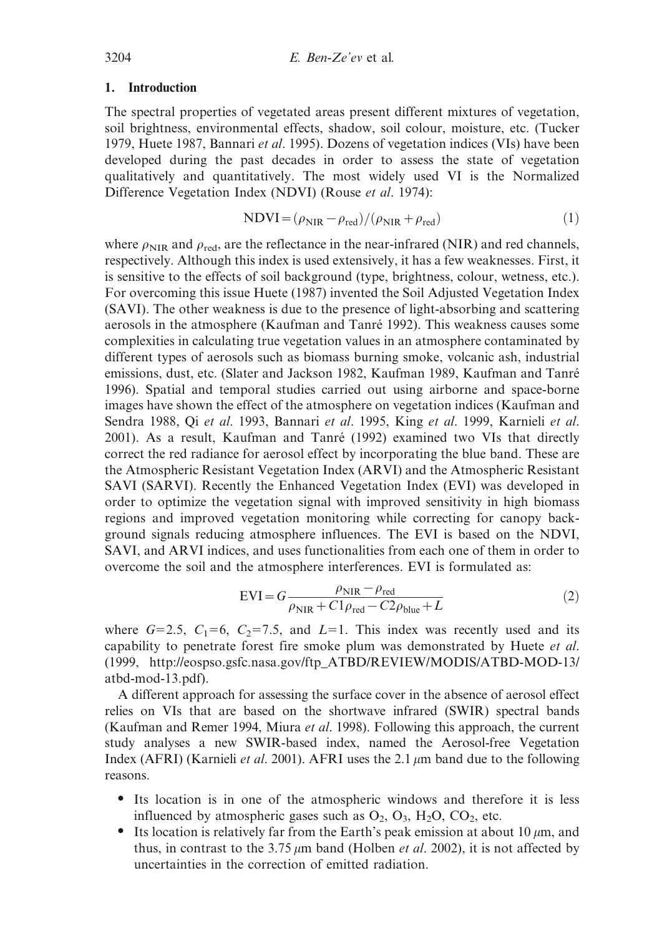#### 1. Introduction

The spectral properties of vegetated areas present different mixtures of vegetation, soil brightness, environmental effects, shadow, soil colour, moisture, etc. (Tucker 1979, Huete 1987, Bannari *et al*. 1995). Dozens of vegetation indices (VIs) have been developed during the past decades in order to assess the state of vegetation qualitatively and quantitatively. The most widely used VI is the Normalized Difference Vegetation Index (NDVI) (Rouse *et al*. 1974):

$$
NDVI = (\rho_{NIR} - \rho_{red})/(\rho_{NIR} + \rho_{red})
$$
\n(1)

where  $\rho_{\text{NIR}}$  and  $\rho_{\text{red}}$ , are the reflectance in the near-infrared (NIR) and red channels, respectively. Although this index is used extensively, it has a few weaknesses. First, it is sensitive to the effects of soil background (type, brightness, colour, wetness, etc.). For overcoming this issue Huete (1987) invented the Soil Adjusted Vegetation Index (SAVI). The other weakness is due to the presence of light-absorbing and scattering aerosols in the atmosphere (Kaufman and Tanré 1992). This weakness causes some complexities in calculating true vegetation values in an atmosphere contaminated by different types of aerosols such as biomass burning smoke, volcanic ash, industrial emissions, dust, etc. (Slater and Jackson 1982, Kaufman 1989, Kaufman and Tanré 1996). Spatial and temporal studies carried out using airborne and space-borne images have shown the effect of the atmosphere on vegetation indices (Kaufman and Sendra 1988, Qi *et al*. 1993, Bannari *et al*. 1995, King *et al*. 1999, Karnieli *et al*. 2001). As a result, Kaufman and Tanre´ (1992) examined two VIs that directly correct the red radiance for aerosol effect by incorporating the blue band. These are the Atmospheric Resistant Vegetation Index (ARVI) and the Atmospheric Resistant SAVI (SARVI). Recently the Enhanced Vegetation Index (EVI) was developed in order to optimize the vegetation signal with improved sensitivity in high biomass regions and improved vegetation monitoring while correcting for canopy background signals reducing atmosphere influences. The EVI is based on the NDVI, SAVI, and ARVI indices, and uses functionalities from each one of them in order to overcome the soil and the atmosphere interferences. EVI is formulated as:

$$
EVI = G \frac{\rho_{NIR} - \rho_{red}}{\rho_{NIR} + C1\rho_{red} - C2\rho_{blue} + L}
$$
 (2)

where  $G=2.5$ ,  $C_1=6$ ,  $C_2=7.5$ , and  $L=1$ . This index was recently used and its capability to penetrate forest fire smoke plum was demonstrated by Huete *et al*. (1999, http://eospso.gsfc.nasa.gov/ftp\_ATBD/REVIEW/MODIS/ATBD-MOD-13/ atbd-mod-13.pdf).

A different approach for assessing the surface cover in the absence of aerosol effect relies on VIs that are based on the shortwave infrared (SWIR) spectral bands (Kaufman and Remer 1994, Miura *et al*. 1998). Following this approach, the current study analyses a new SWIR-based index, named the Aerosol-free Vegetation Index (AFRI) (Karnieli *et al.* 2001). AFRI uses the 2.1  $\mu$ m band due to the following reasons.

- Its location is in one of the atmospheric windows and therefore it is less influenced by atmospheric gases such as  $O_2$ ,  $O_3$ ,  $H_2O$ ,  $CO_2$ , etc.
- Its location is relatively far from the Earth's peak emission at about 10  $\mu$ m, and thus, in contrast to the  $3.75 \mu m$  band (Holben *et al.* 2002), it is not affected by uncertainties in the correction of emitted radiation.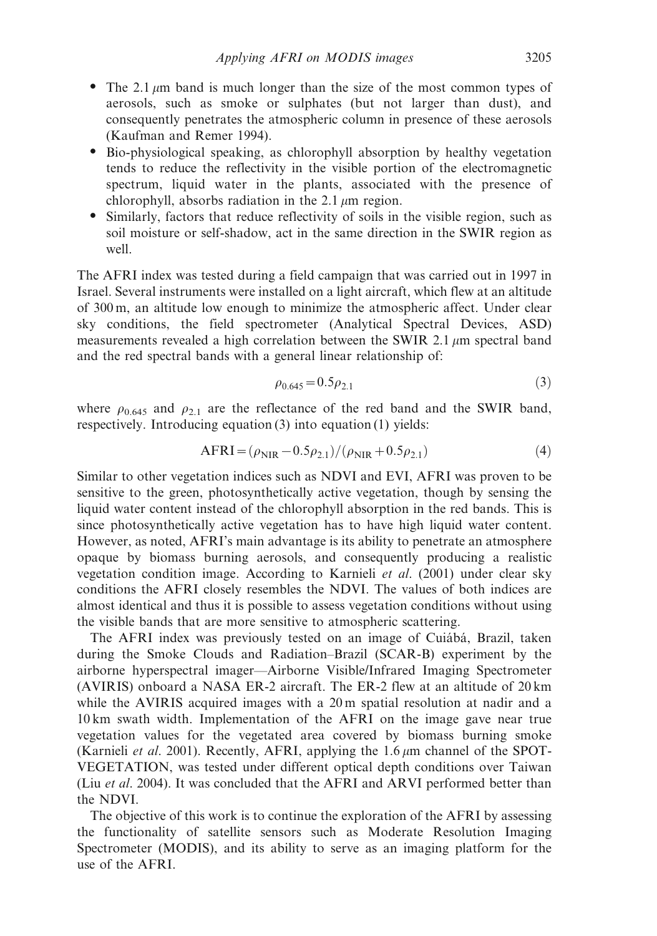- The 2.1  $\mu$ m band is much longer than the size of the most common types of aerosols, such as smoke or sulphates (but not larger than dust), and consequently penetrates the atmospheric column in presence of these aerosols (Kaufman and Remer 1994).
- Bio-physiological speaking, as chlorophyll absorption by healthy vegetation tends to reduce the reflectivity in the visible portion of the electromagnetic spectrum, liquid water in the plants, associated with the presence of chlorophyll, absorbs radiation in the 2.1  $\mu$ m region.
- Similarly, factors that reduce reflectivity of soils in the visible region, such as soil moisture or self-shadow, act in the same direction in the SWIR region as well.

The AFRI index was tested during a field campaign that was carried out in 1997 in Israel. Several instruments were installed on a light aircraft, which flew at an altitude of 300 m, an altitude low enough to minimize the atmospheric affect. Under clear sky conditions, the field spectrometer (Analytical Spectral Devices, ASD) measurements revealed a high correlation between the SWIR 2.1  $\mu$ m spectral band and the red spectral bands with a general linear relationship of:

$$
\rho_{0.645} = 0.5 \rho_{2.1} \tag{3}
$$

where  $\rho_{0.645}$  and  $\rho_{2.1}$  are the reflectance of the red band and the SWIR band, respectively. Introducing equation (3) into equation (1) yields:

$$
AFRI = (\rho_{NIR} - 0.5\rho_{2.1})/(\rho_{NIR} + 0.5\rho_{2.1})
$$
\n(4)

Similar to other vegetation indices such as NDVI and EVI, AFRI was proven to be sensitive to the green, photosynthetically active vegetation, though by sensing the liquid water content instead of the chlorophyll absorption in the red bands. This is since photosynthetically active vegetation has to have high liquid water content. However, as noted, AFRI's main advantage is its ability to penetrate an atmosphere opaque by biomass burning aerosols, and consequently producing a realistic vegetation condition image. According to Karnieli *et al*. (2001) under clear sky conditions the AFRI closely resembles the NDVI. The values of both indices are almost identical and thus it is possible to assess vegetation conditions without using the visible bands that are more sensitive to atmospheric scattering.

The AFRI index was previously tested on an image of Cuiábá, Brazil, taken during the Smoke Clouds and Radiation–Brazil (SCAR-B) experiment by the airborne hyperspectral imager—Airborne Visible/Infrared Imaging Spectrometer (AVIRIS) onboard a NASA ER-2 aircraft. The ER-2 flew at an altitude of 20 km while the AVIRIS acquired images with a 20 m spatial resolution at nadir and a 10 km swath width. Implementation of the AFRI on the image gave near true vegetation values for the vegetated area covered by biomass burning smoke (Karnieli *et al.* 2001). Recently, AFRI, applying the 1.6  $\mu$ m channel of the SPOT-VEGETATION, was tested under different optical depth conditions over Taiwan (Liu *et al*. 2004). It was concluded that the AFRI and ARVI performed better than the NDVI.

The objective of this work is to continue the exploration of the AFRI by assessing the functionality of satellite sensors such as Moderate Resolution Imaging Spectrometer (MODIS), and its ability to serve as an imaging platform for the use of the AFRI.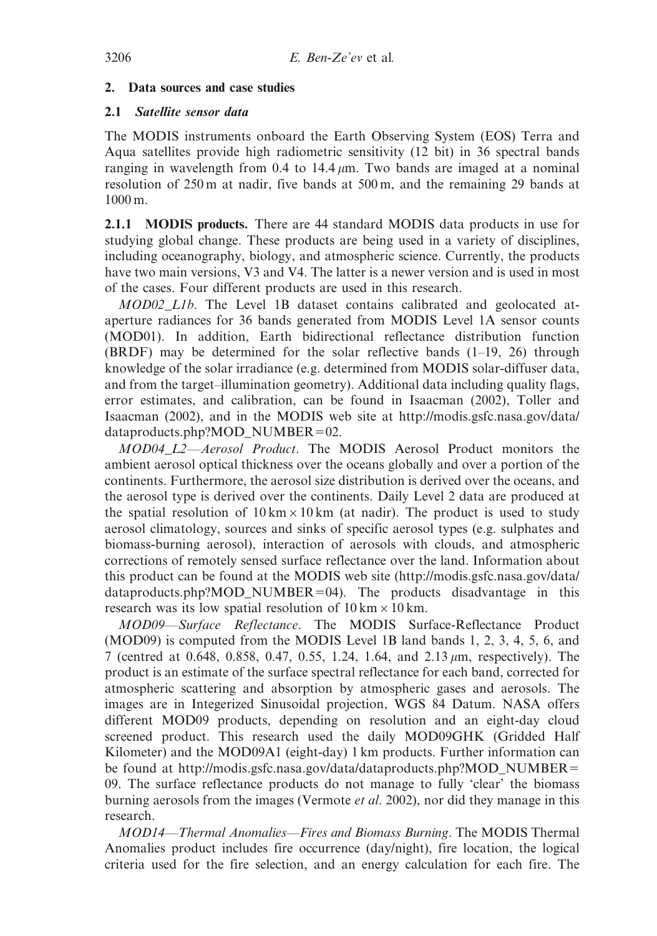## 2. Data sources and case studies

## 2.1 Satellite sensor data

The MODIS instruments onboard the Earth Observing System (EOS) Terra and Aqua satellites provide high radiometric sensitivity (12 bit) in 36 spectral bands ranging in wavelength from 0.4 to 14.4  $\mu$ m. Two bands are imaged at a nominal resolution of 250 m at nadir, five bands at 500 m, and the remaining 29 bands at 1000 m.

2.1.1 MODIS products. There are 44 standard MODIS data products in use for studying global change. These products are being used in a variety of disciplines, including oceanography, biology, and atmospheric science. Currently, the products have two main versions, V3 and V4. The latter is a newer version and is used in most of the cases. Four different products are used in this research.

*MOD02\_L1b*. The Level 1B dataset contains calibrated and geolocated ataperture radiances for 36 bands generated from MODIS Level 1A sensor counts (MOD01). In addition, Earth bidirectional reflectance distribution function (BRDF) may be determined for the solar reflective bands (1–19, 26) through knowledge of the solar irradiance (e.g. determined from MODIS solar-diffuser data, and from the target–illumination geometry). Additional data including quality flags, error estimates, and calibration, can be found in Isaacman (2002), Toller and Isaacman (2002), and in the MODIS web site at http://modis.gsfc.nasa.gov/data/  $dataproducts.php?MOD_NUMBER=02.$ 

*MOD04\_L2—Aerosol Product*. The MODIS Aerosol Product monitors the ambient aerosol optical thickness over the oceans globally and over a portion of the continents. Furthermore, the aerosol size distribution is derived over the oceans, and the aerosol type is derived over the continents. Daily Level 2 data are produced at the spatial resolution of  $10 \text{ km} \times 10 \text{ km}$  (at nadir). The product is used to study aerosol climatology, sources and sinks of specific aerosol types (e.g. sulphates and biomass-burning aerosol), interaction of aerosols with clouds, and atmospheric corrections of remotely sensed surface reflectance over the land. Information about this product can be found at the MODIS web site (http://modis.gsfc.nasa.gov/data/  $dataproducts.php?MOD_NUMBER=04)$ . The products disadvantage in this research was its low spatial resolution of  $10 \text{ km} \times 10 \text{ km}$ .

*MOD09—Surface Reflectance*. The MODIS Surface-Reflectance Product (MOD09) is computed from the MODIS Level 1B land bands 1, 2, 3, 4, 5, 6, and 7 (centred at 0.648, 0.858, 0.47, 0.55, 1.24, 1.64, and  $2.13 \,\mu$ m, respectively). The product is an estimate of the surface spectral reflectance for each band, corrected for atmospheric scattering and absorption by atmospheric gases and aerosols. The images are in Integerized Sinusoidal projection, WGS 84 Datum. NASA offers different MOD09 products, depending on resolution and an eight-day cloud screened product. This research used the daily MOD09GHK (Gridded Half Kilometer) and the MOD09A1 (eight-day) 1 km products. Further information can be found at http://modis.gsfc.nasa.gov/data/dataproducts.php?MOD\_NUMBER= 09. The surface reflectance products do not manage to fully 'clear' the biomass burning aerosols from the images (Vermote *et al*. 2002), nor did they manage in this research.

*MOD14—Thermal Anomalies—Fires and Biomass Burning*. The MODIS Thermal Anomalies product includes fire occurrence (day/night), fire location, the logical criteria used for the fire selection, and an energy calculation for each fire. The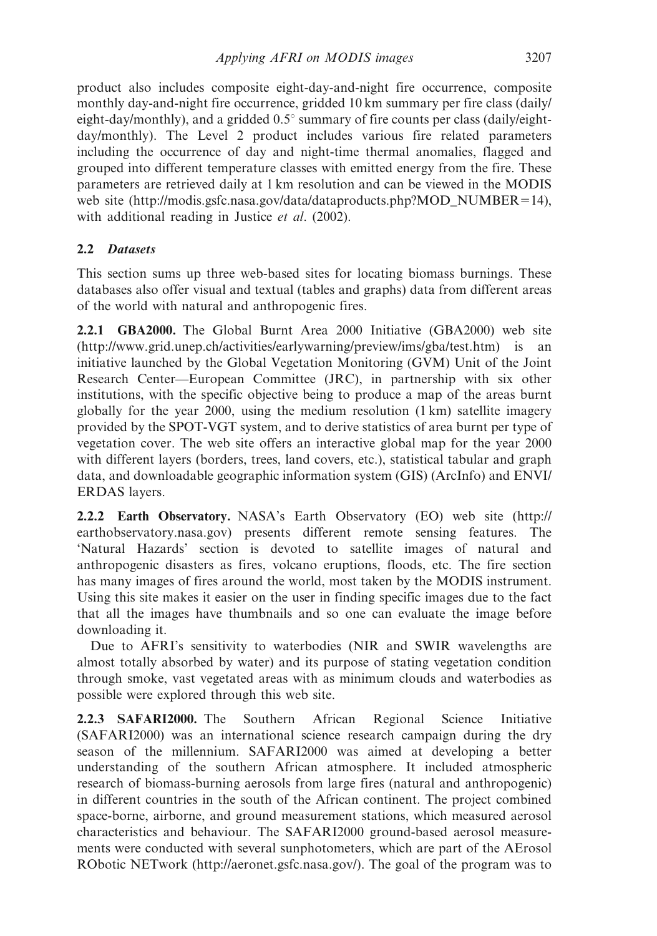product also includes composite eight-day-and-night fire occurrence, composite monthly day-and-night fire occurrence, gridded 10 km summary per fire class (daily/ eight-day/monthly), and a gridded  $0.5^{\circ}$  summary of fire counts per class (daily/eightday/monthly). The Level 2 product includes various fire related parameters including the occurrence of day and night-time thermal anomalies, flagged and grouped into different temperature classes with emitted energy from the fire. These parameters are retrieved daily at 1 km resolution and can be viewed in the MODIS web site (http://modis.gsfc.nasa.gov/data/dataproducts.php?MOD\_NUMBER=14), with additional reading in Justice *et al*. (2002).

# 2.2 Datasets

This section sums up three web-based sites for locating biomass burnings. These databases also offer visual and textual (tables and graphs) data from different areas of the world with natural and anthropogenic fires.

2.2.1 GBA2000. The Global Burnt Area 2000 Initiative (GBA2000) web site (http://www.grid.unep.ch/activities/earlywarning/preview/ims/gba/test.htm) is an initiative launched by the Global Vegetation Monitoring (GVM) Unit of the Joint Research Center—European Committee (JRC), in partnership with six other institutions, with the specific objective being to produce a map of the areas burnt globally for the year 2000, using the medium resolution (1 km) satellite imagery provided by the SPOT-VGT system, and to derive statistics of area burnt per type of vegetation cover. The web site offers an interactive global map for the year 2000 with different layers (borders, trees, land covers, etc.), statistical tabular and graph data, and downloadable geographic information system (GIS) (ArcInfo) and ENVI/ ERDAS layers.

2.2.2 Earth Observatory. NASA's Earth Observatory (EO) web site (http:// earthobservatory.nasa.gov) presents different remote sensing features. The 'Natural Hazards' section is devoted to satellite images of natural and anthropogenic disasters as fires, volcano eruptions, floods, etc. The fire section has many images of fires around the world, most taken by the MODIS instrument. Using this site makes it easier on the user in finding specific images due to the fact that all the images have thumbnails and so one can evaluate the image before downloading it.

Due to AFRI's sensitivity to waterbodies (NIR and SWIR wavelengths are almost totally absorbed by water) and its purpose of stating vegetation condition through smoke, vast vegetated areas with as minimum clouds and waterbodies as possible were explored through this web site.

2.2.3 SAFARI2000. The Southern African Regional Science Initiative (SAFARI2000) was an international science research campaign during the dry season of the millennium. SAFARI2000 was aimed at developing a better understanding of the southern African atmosphere. It included atmospheric research of biomass-burning aerosols from large fires (natural and anthropogenic) in different countries in the south of the African continent. The project combined space-borne, airborne, and ground measurement stations, which measured aerosol characteristics and behaviour. The SAFARI2000 ground-based aerosol measurements were conducted with several sunphotometers, which are part of the AErosol RObotic NETwork (http://aeronet.gsfc.nasa.gov/). The goal of the program was to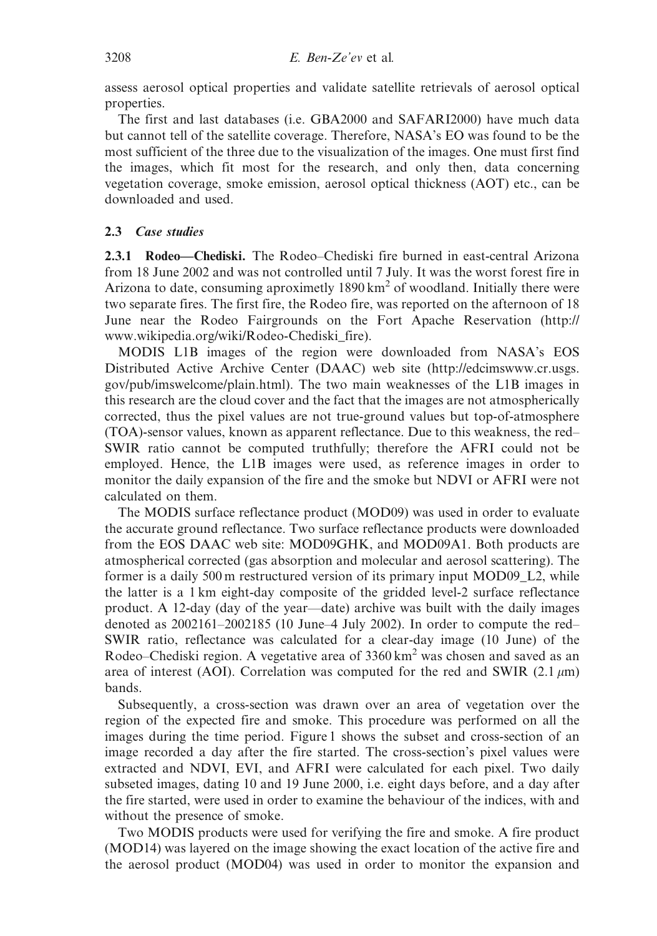assess aerosol optical properties and validate satellite retrievals of aerosol optical properties.

The first and last databases (i.e. GBA2000 and SAFARI2000) have much data but cannot tell of the satellite coverage. Therefore, NASA's EO was found to be the most sufficient of the three due to the visualization of the images. One must first find the images, which fit most for the research, and only then, data concerning vegetation coverage, smoke emission, aerosol optical thickness (AOT) etc., can be downloaded and used.

## 2.3 Case studies

2.3.1 Rodeo—Chediski. The Rodeo–Chediski fire burned in east-central Arizona from 18 June 2002 and was not controlled until 7 July. It was the worst forest fire in Arizona to date, consuming aproximetly  $1890 \text{ km}^2$  of woodland. Initially there were two separate fires. The first fire, the Rodeo fire, was reported on the afternoon of 18 June near the Rodeo Fairgrounds on the Fort Apache Reservation (http:// www.wikipedia.org/wiki/Rodeo-Chediski\_fire).

MODIS L1B images of the region were downloaded from NASA's EOS Distributed Active Archive Center (DAAC) web site (http://edcimswww.cr.usgs. gov/pub/imswelcome/plain.html). The two main weaknesses of the L1B images in this research are the cloud cover and the fact that the images are not atmospherically corrected, thus the pixel values are not true-ground values but top-of-atmosphere (TOA)-sensor values, known as apparent reflectance. Due to this weakness, the red– SWIR ratio cannot be computed truthfully; therefore the AFRI could not be employed. Hence, the L1B images were used, as reference images in order to monitor the daily expansion of the fire and the smoke but NDVI or AFRI were not calculated on them.

The MODIS surface reflectance product (MOD09) was used in order to evaluate the accurate ground reflectance. Two surface reflectance products were downloaded from the EOS DAAC web site: MOD09GHK, and MOD09A1. Both products are atmospherical corrected (gas absorption and molecular and aerosol scattering). The former is a daily 500 m restructured version of its primary input MOD09\_L2, while the latter is a 1 km eight-day composite of the gridded level-2 surface reflectance product. A 12-day (day of the year—date) archive was built with the daily images denoted as 2002161–2002185 (10 June–4 July 2002). In order to compute the red– SWIR ratio, reflectance was calculated for a clear-day image (10 June) of the Rodeo–Chediski region. A vegetative area of  $3360 \text{ km}^2$  was chosen and saved as an area of interest (AOI). Correlation was computed for the red and SWIR (2.1  $\mu$ m) bands.

Subsequently, a cross-section was drawn over an area of vegetation over the region of the expected fire and smoke. This procedure was performed on all the images during the time period. Figure 1 shows the subset and cross-section of an image recorded a day after the fire started. The cross-section's pixel values were extracted and NDVI, EVI, and AFRI were calculated for each pixel. Two daily subseted images, dating 10 and 19 June 2000, i.e. eight days before, and a day after the fire started, were used in order to examine the behaviour of the indices, with and without the presence of smoke.

Two MODIS products were used for verifying the fire and smoke. A fire product (MOD14) was layered on the image showing the exact location of the active fire and the aerosol product (MOD04) was used in order to monitor the expansion and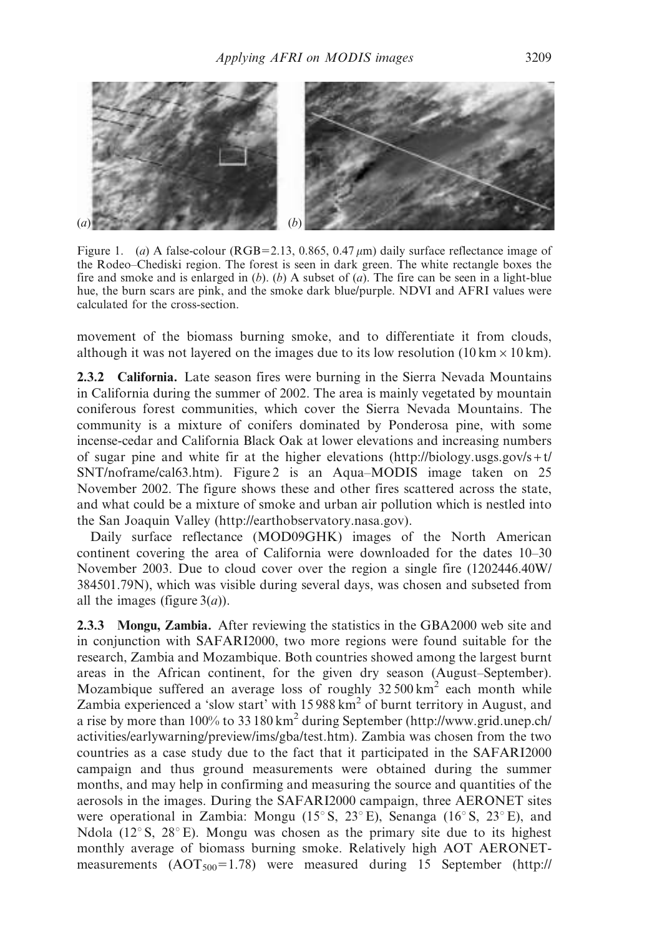

Figure 1. (*a*) A false-colour (RGB=2.13, 0.865, 0.47  $\mu$ m) daily surface reflectance image of the Rodeo–Chediski region. The forest is seen in dark green. The white rectangle boxes the fire and smoke and is enlarged in (*b*). (*b*) A subset of (*a*). The fire can be seen in a light-blue hue, the burn scars are pink, and the smoke dark blue/purple. NDVI and AFRI values were calculated for the cross-section.

movement of the biomass burning smoke, and to differentiate it from clouds, although it was not layered on the images due to its low resolution ( $10 \text{ km} \times 10 \text{ km}$ ).

2.3.2 California. Late season fires were burning in the Sierra Nevada Mountains in California during the summer of 2002. The area is mainly vegetated by mountain coniferous forest communities, which cover the Sierra Nevada Mountains. The community is a mixture of conifers dominated by Ponderosa pine, with some incense-cedar and California Black Oak at lower elevations and increasing numbers of sugar pine and white fir at the higher elevations (http://biology.usgs.gov/s + t/ SNT/noframe/cal63.htm). Figure 2 is an Aqua–MODIS image taken on 25 November 2002. The figure shows these and other fires scattered across the state, and what could be a mixture of smoke and urban air pollution which is nestled into the San Joaquin Valley (http://earthobservatory.nasa.gov).

Daily surface reflectance (MOD09GHK) images of the North American continent covering the area of California were downloaded for the dates 10–30 November 2003. Due to cloud cover over the region a single fire (1202446.40W/ 384501.79N), which was visible during several days, was chosen and subseted from all the images (figure 3(*a*)).

2.3.3 Mongu, Zambia. After reviewing the statistics in the GBA2000 web site and in conjunction with SAFARI2000, two more regions were found suitable for the research, Zambia and Mozambique. Both countries showed among the largest burnt areas in the African continent, for the given dry season (August–September). Mozambique suffered an average loss of roughly  $32500 \text{ km}^2$  each month while Zambia experienced a 'slow start' with 15988 km<sup>2</sup> of burnt territory in August, and a rise by more than 100% to 33 180 km<sup>2</sup> during September (http://www.grid.unep.ch/ activities/earlywarning/preview/ims/gba/test.htm). Zambia was chosen from the two countries as a case study due to the fact that it participated in the SAFARI2000 campaign and thus ground measurements were obtained during the summer months, and may help in confirming and measuring the source and quantities of the aerosols in the images. During the SAFARI2000 campaign, three AERONET sites were operational in Zambia: Mongu (15 $\degree$ S, 23 $\degree$ E), Senanga (16 $\degree$ S, 23 $\degree$ E), and Ndola ( $12^{\circ}$  S,  $28^{\circ}$  E). Mongu was chosen as the primary site due to its highest monthly average of biomass burning smoke. Relatively high AOT AERONETmeasurements  $(AOT<sub>500</sub>=1.78)$  were measured during 15 September (http://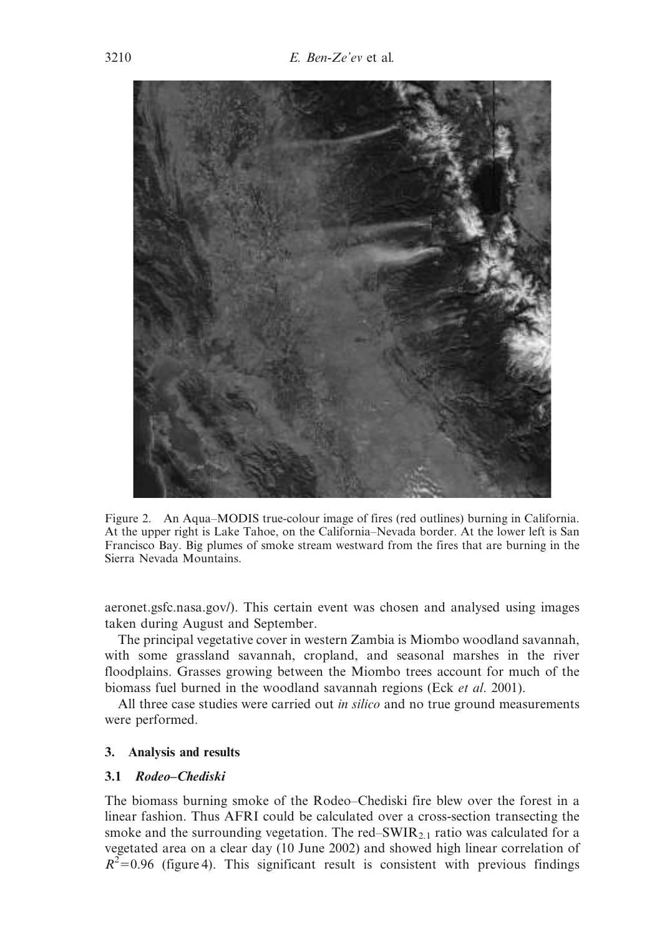

Figure 2. An Aqua–MODIS true-colour image of fires (red outlines) burning in California. At the upper right is Lake Tahoe, on the California–Nevada border. At the lower left is San Francisco Bay. Big plumes of smoke stream westward from the fires that are burning in the Sierra Nevada Mountains.

aeronet.gsfc.nasa.gov/). This certain event was chosen and analysed using images taken during August and September.

The principal vegetative cover in western Zambia is Miombo woodland savannah, with some grassland savannah, cropland, and seasonal marshes in the river floodplains. Grasses growing between the Miombo trees account for much of the biomass fuel burned in the woodland savannah regions (Eck *et al*. 2001).

All three case studies were carried out *in silico* and no true ground measurements were performed.

#### 3. Analysis and results

#### 3.1 Rodeo–Chediski

The biomass burning smoke of the Rodeo–Chediski fire blew over the forest in a linear fashion. Thus AFRI could be calculated over a cross-section transecting the smoke and the surrounding vegetation. The red–SWIR $_{2,1}$  ratio was calculated for a vegetated area on a clear day (10 June 2002) and showed high linear correlation of  $R^2$ =0.96 (figure 4). This significant result is consistent with previous findings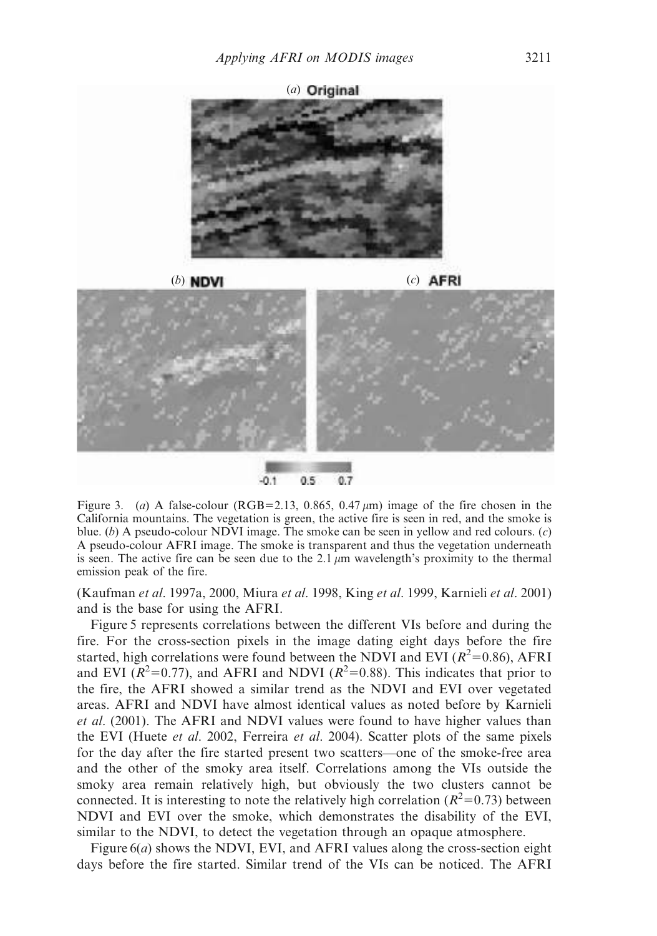

Figure 3. (*a*) A false-colour (RGB=2.13, 0.865, 0.47  $\mu$ m) image of the fire chosen in the California mountains. The vegetation is green, the active fire is seen in red, and the smoke is blue. (*b*) A pseudo-colour NDVI image. The smoke can be seen in yellow and red colours. (*c*) A pseudo-colour AFRI image. The smoke is transparent and thus the vegetation underneath is seen. The active fire can be seen due to the 2.1  $\mu$ m wavelength's proximity to the thermal emission peak of the fire.

(Kaufman *et al*. 1997a, 2000, Miura *et al*. 1998, King *et al*. 1999, Karnieli *et al*. 2001) and is the base for using the AFRI.

Figure 5 represents correlations between the different VIs before and during the fire. For the cross-section pixels in the image dating eight days before the fire started, high correlations were found between the NDVI and EVI ( $R^2$ =0.86), AFRI and EVI ( $\mathbb{R}^2$ =0.77), and AFRI and NDVI ( $\mathbb{R}^2$ =0.88). This indicates that prior to the fire, the AFRI showed a similar trend as the NDVI and EVI over vegetated areas. AFRI and NDVI have almost identical values as noted before by Karnieli *et al*. (2001). The AFRI and NDVI values were found to have higher values than the EVI (Huete *et al*. 2002, Ferreira *et al*. 2004). Scatter plots of the same pixels for the day after the fire started present two scatters—one of the smoke-free area and the other of the smoky area itself. Correlations among the VIs outside the smoky area remain relatively high, but obviously the two clusters cannot be connected. It is interesting to note the relatively high correlation ( $R^2$ =0.73) between NDVI and EVI over the smoke, which demonstrates the disability of the EVI, similar to the NDVI, to detect the vegetation through an opaque atmosphere.

Figure 6(*a*) shows the NDVI, EVI, and AFRI values along the cross-section eight days before the fire started. Similar trend of the VIs can be noticed. The AFRI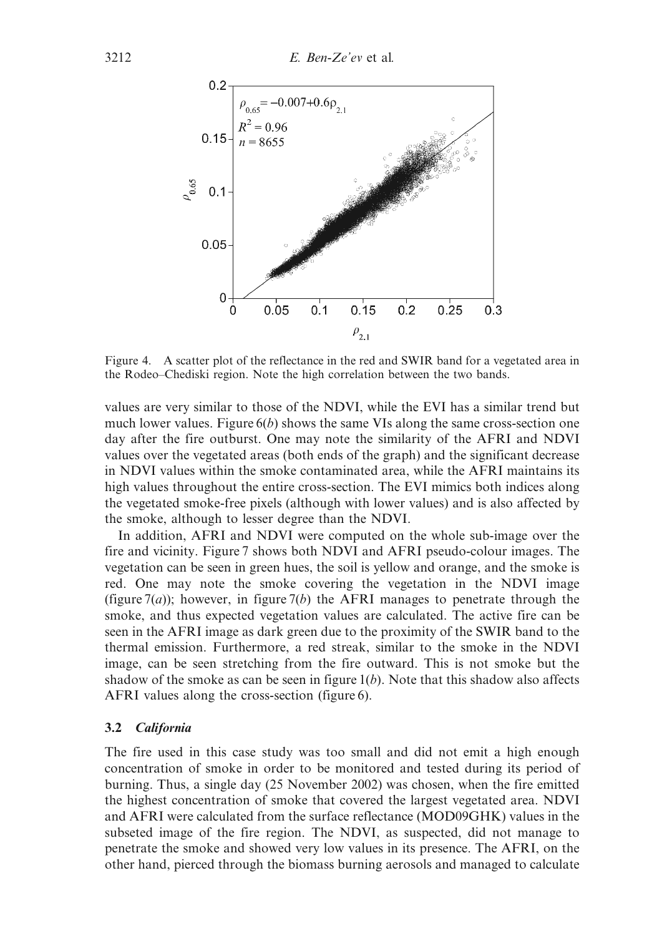

Figure 4. A scatter plot of the reflectance in the red and SWIR band for a vegetated area in the Rodeo–Chediski region. Note the high correlation between the two bands.

values are very similar to those of the NDVI, while the EVI has a similar trend but much lower values. Figure 6(*b*) shows the same VIs along the same cross-section one day after the fire outburst. One may note the similarity of the AFRI and NDVI values over the vegetated areas (both ends of the graph) and the significant decrease in NDVI values within the smoke contaminated area, while the AFRI maintains its high values throughout the entire cross-section. The EVI mimics both indices along the vegetated smoke-free pixels (although with lower values) and is also affected by the smoke, although to lesser degree than the NDVI.

In addition, AFRI and NDVI were computed on the whole sub-image over the fire and vicinity. Figure 7 shows both NDVI and AFRI pseudo-colour images. The vegetation can be seen in green hues, the soil is yellow and orange, and the smoke is red. One may note the smoke covering the vegetation in the NDVI image (figure  $7(a)$ ); however, in figure  $7(b)$  the AFRI manages to penetrate through the smoke, and thus expected vegetation values are calculated. The active fire can be seen in the AFRI image as dark green due to the proximity of the SWIR band to the thermal emission. Furthermore, a red streak, similar to the smoke in the NDVI image, can be seen stretching from the fire outward. This is not smoke but the shadow of the smoke as can be seen in figure  $1(b)$ . Note that this shadow also affects AFRI values along the cross-section (figure 6).

### 3.2 California

The fire used in this case study was too small and did not emit a high enough concentration of smoke in order to be monitored and tested during its period of burning. Thus, a single day (25 November 2002) was chosen, when the fire emitted the highest concentration of smoke that covered the largest vegetated area. NDVI and AFRI were calculated from the surface reflectance (MOD09GHK) values in the subseted image of the fire region. The NDVI, as suspected, did not manage to penetrate the smoke and showed very low values in its presence. The AFRI, on the other hand, pierced through the biomass burning aerosols and managed to calculate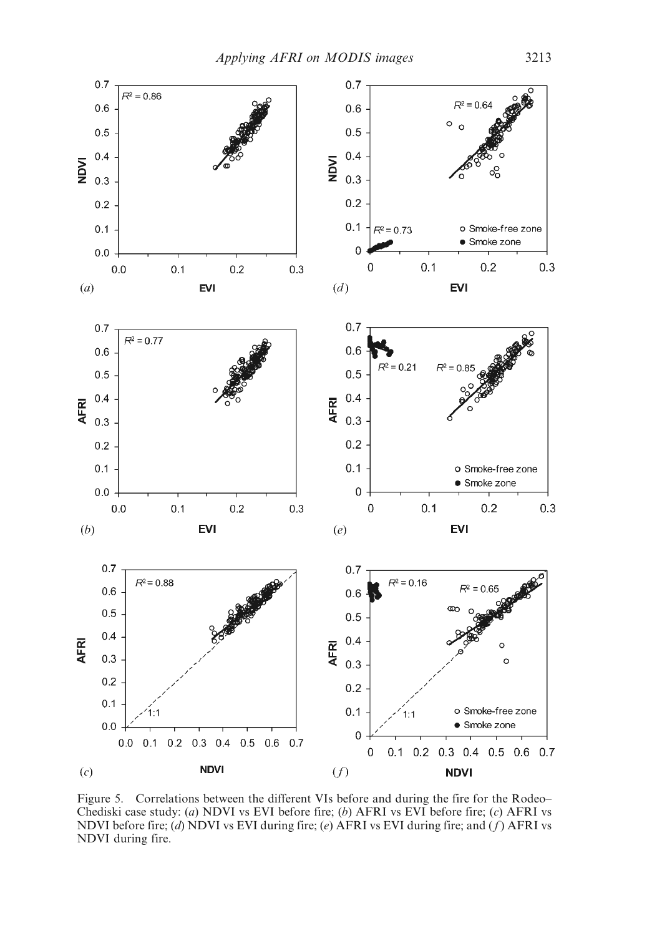

Figure 5. Correlations between the different VIs before and during the fire for the Rodeo– Chediski case study: (*a*) NDVI vs EVI before fire; (*b*) AFRI vs EVI before fire; (*c*) AFRI vs NDVI before fire; (*d*) NDVI vs EVI during fire; (*e*) AFRI vs EVI during fire; and ( *f* ) AFRI vs NDVI during fire.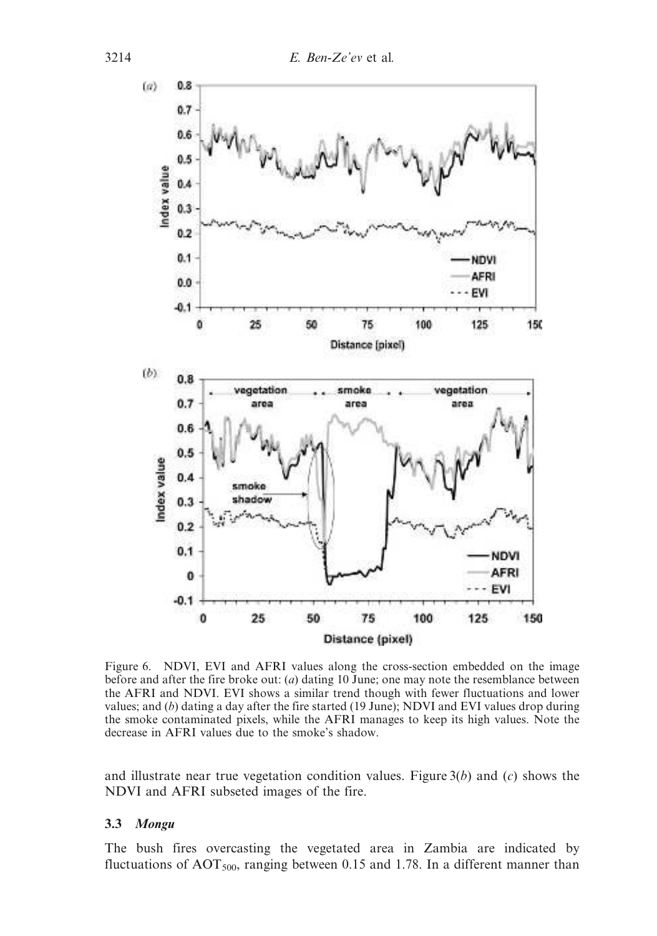

Figure 6. NDVI, EVI and AFRI values along the cross-section embedded on the image before and after the fire broke out: (*a*) dating 10 June; one may note the resemblance between the AFRI and NDVI. EVI shows a similar trend though with fewer fluctuations and lower values; and (*b*) dating a day after the fire started (19 June); NDVI and EVI values drop during the smoke contaminated pixels, while the AFRI manages to keep its high values. Note the decrease in AFRI values due to the smoke's shadow.

and illustrate near true vegetation condition values. Figure 3(*b*) and (*c*) shows the NDVI and AFRI subseted images of the fire.

## 3.3 Mongu

The bush fires overcasting the vegetated area in Zambia are indicated by fluctuations of  $AOT<sub>500</sub>$ , ranging between 0.15 and 1.78. In a different manner than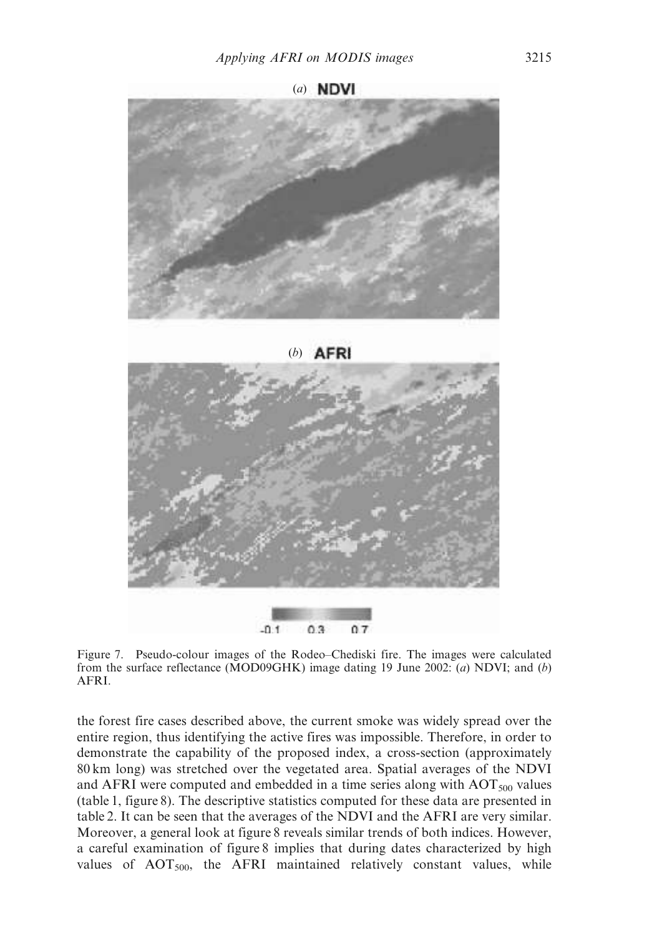



Figure 7. Pseudo-colour images of the Rodeo–Chediski fire. The images were calculated from the surface reflectance (MOD09GHK) image dating 19 June 2002: (*a*) NDVI; and (*b*) AFRI.

the forest fire cases described above, the current smoke was widely spread over the entire region, thus identifying the active fires was impossible. Therefore, in order to demonstrate the capability of the proposed index, a cross-section (approximately 80 km long) was stretched over the vegetated area. Spatial averages of the NDVI and AFRI were computed and embedded in a time series along with  $AOT<sub>500</sub>$  values (table 1, figure 8). The descriptive statistics computed for these data are presented in table 2. It can be seen that the averages of the NDVI and the AFRI are very similar. Moreover, a general look at figure 8 reveals similar trends of both indices. However, a careful examination of figure 8 implies that during dates characterized by high values of  $AOT<sub>500</sub>$ , the AFRI maintained relatively constant values, while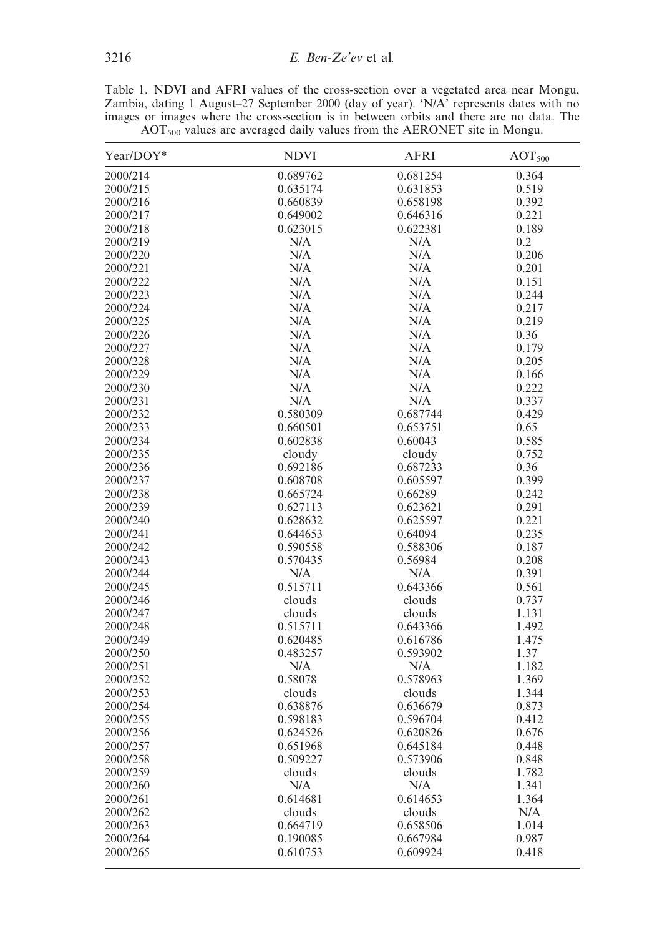Table 1. NDVI and AFRI values of the cross-section over a vegetated area near Mongu, Zambia, dating 1 August–27 September 2000 (day of year). 'N/A' represents dates with no images or images where the cross-section is in between orbits and there are no data. The  $AOT<sub>500</sub>$  values are averaged daily values from the AERONET site in Mongu.

| Year/DOY* | <b>NDVI</b> | <b>AFRI</b> | AOT <sub>500</sub> |
|-----------|-------------|-------------|--------------------|
| 2000/214  | 0.689762    | 0.681254    | 0.364              |
| 2000/215  | 0.635174    | 0.631853    | 0.519              |
| 2000/216  | 0.660839    | 0.658198    | 0.392              |
| 2000/217  | 0.649002    | 0.646316    | 0.221              |
| 2000/218  | 0.623015    | 0.622381    | 0.189              |
| 2000/219  | N/A         | N/A         | 0.2                |
| 2000/220  | N/A         | N/A         | 0.206              |
| 2000/221  | N/A         | N/A         | 0.201              |
| 2000/222  | N/A         | N/A         | 0.151              |
| 2000/223  | N/A         | N/A         | 0.244              |
| 2000/224  | N/A         | N/A         | 0.217              |
| 2000/225  | N/A         | N/A         | 0.219              |
| 2000/226  | N/A         | N/A         | 0.36               |
| 2000/227  | N/A         | N/A         | 0.179              |
| 2000/228  | N/A         | N/A         | 0.205              |
| 2000/229  | N/A         | N/A         | 0.166              |
| 2000/230  | N/A         | N/A         | 0.222              |
| 2000/231  | N/A         | N/A         | 0.337              |
| 2000/232  | 0.580309    | 0.687744    | 0.429              |
| 2000/233  | 0.660501    | 0.653751    | 0.65               |
| 2000/234  | 0.602838    | 0.60043     | 0.585              |
| 2000/235  | cloudy      | cloudy      | 0.752              |
| 2000/236  | 0.692186    | 0.687233    | 0.36               |
| 2000/237  | 0.608708    | 0.605597    | 0.399              |
| 2000/238  | 0.665724    | 0.66289     | 0.242              |
| 2000/239  | 0.627113    | 0.623621    | 0.291              |
| 2000/240  | 0.628632    | 0.625597    | 0.221              |
| 2000/241  | 0.644653    | 0.64094     | 0.235              |
| 2000/242  | 0.590558    | 0.588306    | 0.187              |
| 2000/243  | 0.570435    | 0.56984     | 0.208              |
| 2000/244  | N/A         | N/A         | 0.391              |
| 2000/245  | 0.515711    | 0.643366    | 0.561              |
| 2000/246  | clouds      | clouds      | 0.737              |
| 2000/247  | clouds      | clouds      | 1.131              |
| 2000/248  | 0.515711    | 0.643366    | 1.492              |
| 2000/249  | 0.620485    | 0.616786    | 1.475              |
| 2000/250  | 0.483257    | 0.593902    | 1.37               |
| 2000/251  | N/A         | N/A         | 1.182              |
| 2000/252  | 0.58078     | 0.578963    | 1.369              |
| 2000/253  | clouds      | clouds      | 1.344              |
| 2000/254  | 0.638876    | 0.636679    | 0.873              |
| 2000/255  | 0.598183    | 0.596704    | 0.412              |
| 2000/256  | 0.624526    | 0.620826    | 0.676              |
| 2000/257  | 0.651968    | 0.645184    | 0.448              |
| 2000/258  | 0.509227    | 0.573906    | 0.848              |
| 2000/259  | clouds      | clouds      | 1.782              |
| 2000/260  | N/A         | N/A         | 1.341              |
| 2000/261  | 0.614681    | 0.614653    | 1.364              |
| 2000/262  | clouds      | clouds      | N/A                |
| 2000/263  | 0.664719    | 0.658506    | 1.014              |
| 2000/264  | 0.190085    | 0.667984    | 0.987              |
| 2000/265  | 0.610753    | 0.609924    | 0.418              |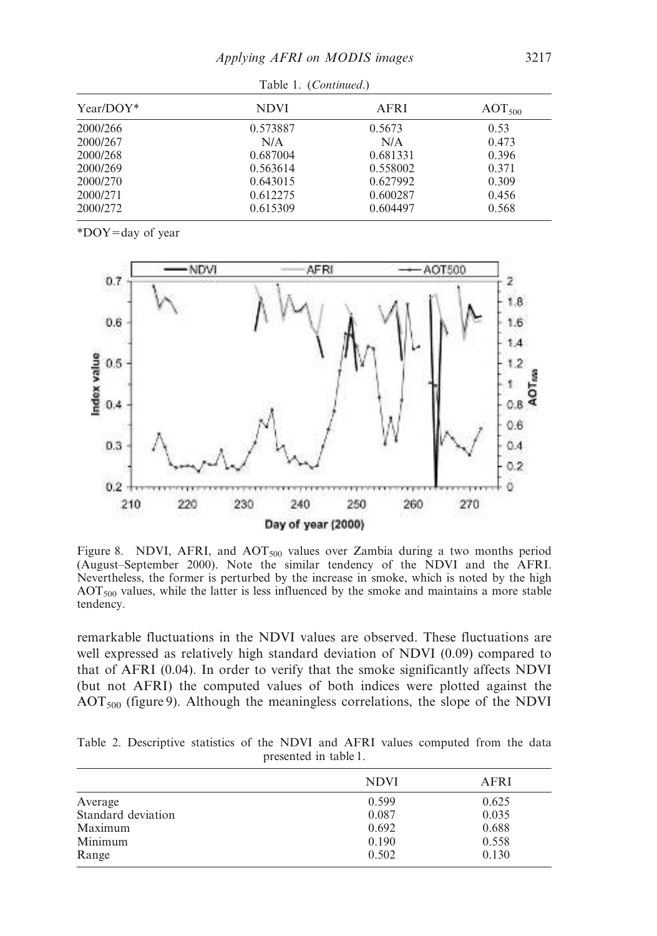| Table 1. (Continued.) |             |          |                    |  |
|-----------------------|-------------|----------|--------------------|--|
| $Year/DOY^*$          | <b>NDVI</b> | AFRI     | AOT <sub>500</sub> |  |
| 2000/266              | 0.573887    | 0.5673   | 0.53               |  |
| 2000/267              | N/A         | N/A      | 0.473              |  |
| 2000/268              | 0.687004    | 0.681331 | 0.396              |  |
| 2000/269              | 0.563614    | 0.558002 | 0.371              |  |
| 2000/270              | 0.643015    | 0.627992 | 0.309              |  |
| 2000/271              | 0.612275    | 0.600287 | 0.456              |  |
| 2000/272              | 0.615309    | 0.604497 | 0.568              |  |

Table 1. (*Continued*.)

 $*$ DOY=day of year



Figure 8. NDVI, AFRI, and AOT $_{500}$  values over Zambia during a two months period (August–September 2000). Note the similar tendency of the NDVI and the AFRI. Nevertheless, the former is perturbed by the increase in smoke, which is noted by the high  $AOT<sub>500</sub>$  values, while the latter is less influenced by the smoke and maintains a more stable tendency.

remarkable fluctuations in the NDVI values are observed. These fluctuations are well expressed as relatively high standard deviation of NDVI (0.09) compared to that of AFRI (0.04). In order to verify that the smoke significantly affects NDVI (but not AFRI) the computed values of both indices were plotted against the  $AOT<sub>500</sub>$  (figure 9). Although the meaningless correlations, the slope of the NDVI

Table 2. Descriptive statistics of the NDVI and AFRI values computed from the data presented in table 1.

|                    | <b>NDVI</b> | AFRI  |
|--------------------|-------------|-------|
| Average            | 0.599       | 0.625 |
| Standard deviation | 0.087       | 0.035 |
| Maximum            | 0.692       | 0.688 |
| Minimum            | 0.190       | 0.558 |
| Range              | 0.502       | 0.130 |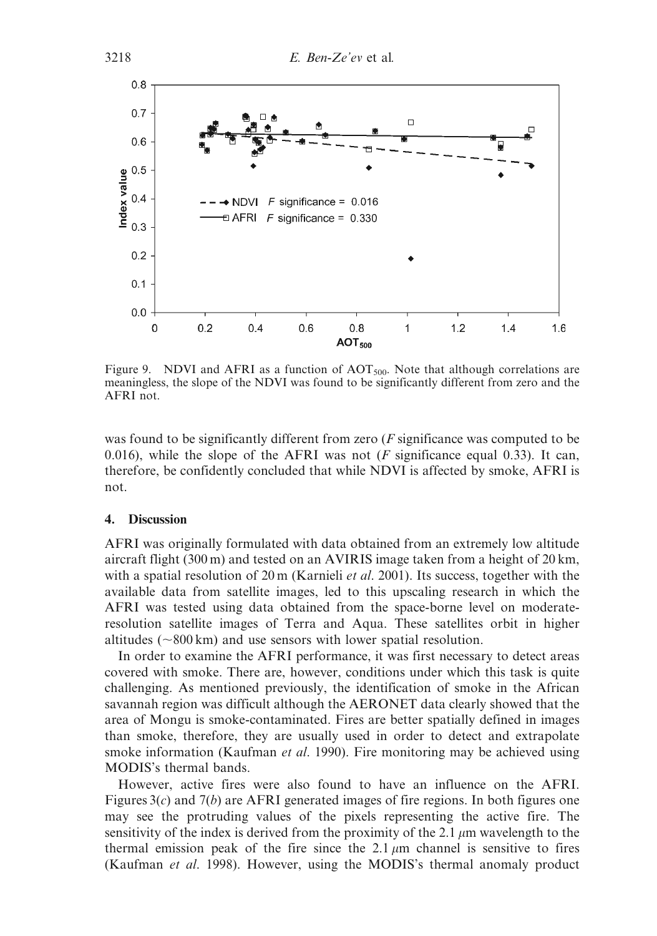

Figure 9. NDVI and AFRI as a function of  $AOT<sub>500</sub>$ . Note that although correlations are meaningless, the slope of the NDVI was found to be significantly different from zero and the AFRI not.

was found to be significantly different from zero (*F* significance was computed to be 0.016), while the slope of the AFRI was not  $(F$  significance equal 0.33). It can, therefore, be confidently concluded that while NDVI is affected by smoke, AFRI is not.

#### 4. Discussion

AFRI was originally formulated with data obtained from an extremely low altitude aircraft flight (300 m) and tested on an AVIRIS image taken from a height of 20 km, with a spatial resolution of 20 m (Karnieli *et al*. 2001). Its success, together with the available data from satellite images, led to this upscaling research in which the AFRI was tested using data obtained from the space-borne level on moderateresolution satellite images of Terra and Aqua. These satellites orbit in higher altitudes ( $\sim$ 800 km) and use sensors with lower spatial resolution.

In order to examine the AFRI performance, it was first necessary to detect areas covered with smoke. There are, however, conditions under which this task is quite challenging. As mentioned previously, the identification of smoke in the African savannah region was difficult although the AERONET data clearly showed that the area of Mongu is smoke-contaminated. Fires are better spatially defined in images than smoke, therefore, they are usually used in order to detect and extrapolate smoke information (Kaufman *et al*. 1990). Fire monitoring may be achieved using MODIS's thermal bands.

However, active fires were also found to have an influence on the AFRI. Figures 3(*c*) and 7(*b*) are AFRI generated images of fire regions. In both figures one may see the protruding values of the pixels representing the active fire. The sensitivity of the index is derived from the proximity of the 2.1  $\mu$ m wavelength to the thermal emission peak of the fire since the  $2.1 \mu m$  channel is sensitive to fires (Kaufman *et al*. 1998). However, using the MODIS's thermal anomaly product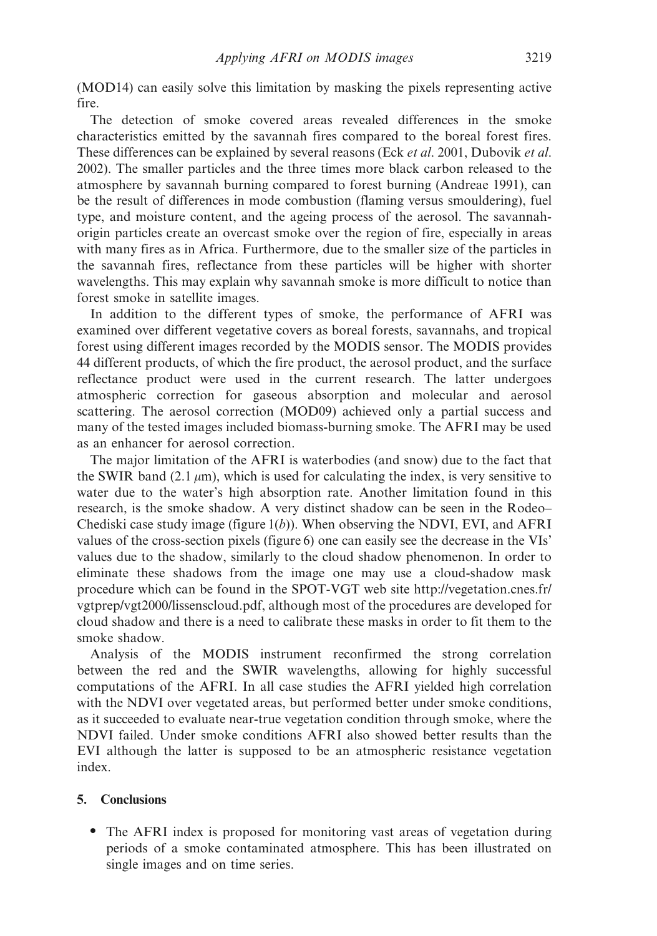(MOD14) can easily solve this limitation by masking the pixels representing active fire.

The detection of smoke covered areas revealed differences in the smoke characteristics emitted by the savannah fires compared to the boreal forest fires. These differences can be explained by several reasons (Eck *et al*. 2001, Dubovik *et al*. 2002). The smaller particles and the three times more black carbon released to the atmosphere by savannah burning compared to forest burning (Andreae 1991), can be the result of differences in mode combustion (flaming versus smouldering), fuel type, and moisture content, and the ageing process of the aerosol. The savannahorigin particles create an overcast smoke over the region of fire, especially in areas with many fires as in Africa. Furthermore, due to the smaller size of the particles in the savannah fires, reflectance from these particles will be higher with shorter wavelengths. This may explain why savannah smoke is more difficult to notice than forest smoke in satellite images.

In addition to the different types of smoke, the performance of AFRI was examined over different vegetative covers as boreal forests, savannahs, and tropical forest using different images recorded by the MODIS sensor. The MODIS provides 44 different products, of which the fire product, the aerosol product, and the surface reflectance product were used in the current research. The latter undergoes atmospheric correction for gaseous absorption and molecular and aerosol scattering. The aerosol correction (MOD09) achieved only a partial success and many of the tested images included biomass-burning smoke. The AFRI may be used as an enhancer for aerosol correction.

The major limitation of the AFRI is waterbodies (and snow) due to the fact that the SWIR band (2.1  $\mu$ m), which is used for calculating the index, is very sensitive to water due to the water's high absorption rate. Another limitation found in this research, is the smoke shadow. A very distinct shadow can be seen in the Rodeo– Chediski case study image (figure 1(*b*)). When observing the NDVI, EVI, and AFRI values of the cross-section pixels (figure 6) one can easily see the decrease in the VIs' values due to the shadow, similarly to the cloud shadow phenomenon. In order to eliminate these shadows from the image one may use a cloud-shadow mask procedure which can be found in the SPOT-VGT web site http://vegetation.cnes.fr/ vgtprep/vgt2000/lissenscloud.pdf, although most of the procedures are developed for cloud shadow and there is a need to calibrate these masks in order to fit them to the smoke shadow.

Analysis of the MODIS instrument reconfirmed the strong correlation between the red and the SWIR wavelengths, allowing for highly successful computations of the AFRI. In all case studies the AFRI yielded high correlation with the NDVI over vegetated areas, but performed better under smoke conditions, as it succeeded to evaluate near-true vegetation condition through smoke, where the NDVI failed. Under smoke conditions AFRI also showed better results than the EVI although the latter is supposed to be an atmospheric resistance vegetation index.

## 5. Conclusions

• The AFRI index is proposed for monitoring vast areas of vegetation during periods of a smoke contaminated atmosphere. This has been illustrated on single images and on time series.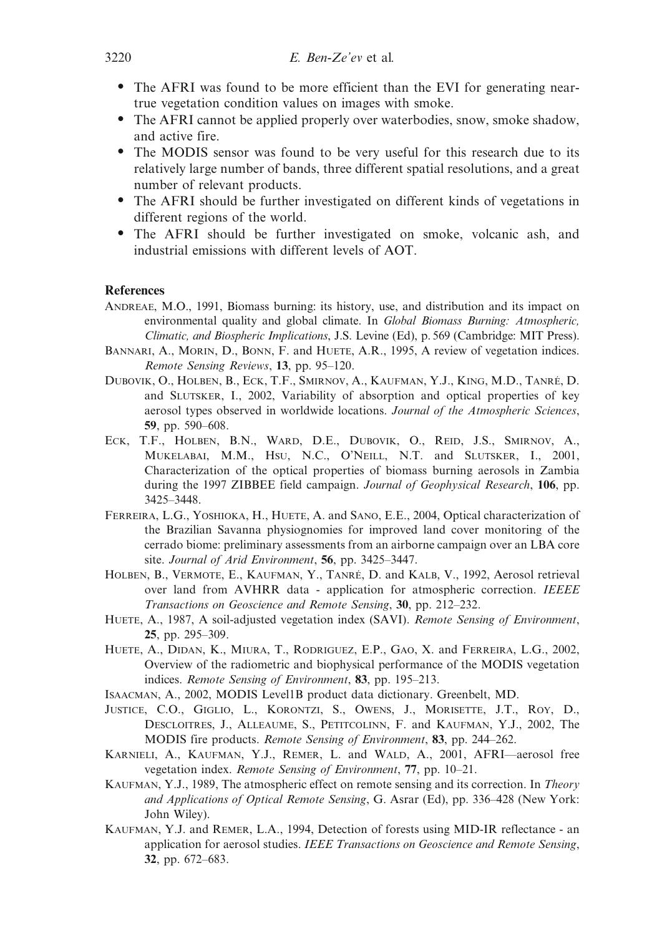- The AFRI was found to be more efficient than the EVI for generating neartrue vegetation condition values on images with smoke.
- The AFRI cannot be applied properly over waterbodies, snow, smoke shadow, and active fire.
- The MODIS sensor was found to be very useful for this research due to its relatively large number of bands, three different spatial resolutions, and a great number of relevant products.
- The AFRI should be further investigated on different kinds of vegetations in different regions of the world.
- The AFRI should be further investigated on smoke, volcanic ash, and industrial emissions with different levels of AOT.

## References

- ANDREAE, M.O., 1991, Biomass burning: its history, use, and distribution and its impact on environmental quality and global climate. In *Global Biomass Burning: Atmospheric, Climatic, and Biospheric Implications*, J.S. Levine (Ed), p. 569 (Cambridge: MIT Press).
- BANNARI, A., MORIN, D., BONN, F. and HUETE, A.R., 1995, A review of vegetation indices. *Remote Sensing Reviews*, 13, pp. 95–120.
- DUBOVIK, O., HOLBEN, B., ECK, T.F., SMIRNOV, A., KAUFMAN, Y.J., KING, M.D., TANRÉ, D. and SLUTSKER, I., 2002, Variability of absorption and optical properties of key aerosol types observed in worldwide locations. *Journal of the Atmospheric Sciences*, 59, pp. 590–608.
- ECK, T.F., HOLBEN, B.N., WARD, D.E., DUBOVIK, O., REID, J.S., SMIRNOV, A., MUKELABAI, M.M., HSU, N.C., O'NEILL, N.T. and SLUTSKER, I., 2001, Characterization of the optical properties of biomass burning aerosols in Zambia during the 1997 ZIBBEE field campaign. *Journal of Geophysical Research*, 106, pp. 3425–3448.
- FERREIRA, L.G., YOSHIOKA, H., HUETE, A. and SANO, E.E., 2004, Optical characterization of the Brazilian Savanna physiognomies for improved land cover monitoring of the cerrado biome: preliminary assessments from an airborne campaign over an LBA core site. *Journal of Arid Environment*, 56, pp. 3425–3447.
- HOLBEN, B., VERMOTE, E., KAUFMAN, Y., TANRÉ, D. and KALB, V., 1992, Aerosol retrieval over land from AVHRR data - application for atmospheric correction. *IEEEE Transactions on Geoscience and Remote Sensing*, 30, pp. 212–232.
- HUETE, A., 1987, A soil-adjusted vegetation index (SAVI). *Remote Sensing of Environment*, 25, pp. 295–309.
- HUETE, A., DIDAN, K., MIURA, T., RODRIGUEZ, E.P., GAO, X. and FERREIRA, L.G., 2002, Overview of the radiometric and biophysical performance of the MODIS vegetation indices. *Remote Sensing of Environment*, 83, pp. 195–213.
- ISAACMAN, A., 2002, MODIS Level1B product data dictionary. Greenbelt, MD.
- JUSTICE, C.O., GIGLIO, L., KORONTZI, S., OWENS, J., MORISETTE, J.T., ROY, D., DESCLOITRES, J., ALLEAUME, S., PETITCOLINN, F. and KAUFMAN, Y.J., 2002, The MODIS fire products. *Remote Sensing of Environment*, 83, pp. 244–262.
- KARNIELI, A., KAUFMAN, Y.J., REMER, L. and WALD, A., 2001, AFRI—aerosol free vegetation index. *Remote Sensing of Environment*, 77, pp. 10–21.
- KAUFMAN, Y.J., 1989, The atmospheric effect on remote sensing and its correction. In *Theory and Applications of Optical Remote Sensing*, G. Asrar (Ed), pp. 336–428 (New York: John Wiley).
- KAUFMAN, Y.J. and REMER, L.A., 1994, Detection of forests using MID-IR reflectance an application for aerosol studies. *IEEE Transactions on Geoscience and Remote Sensing*, 32, pp. 672–683.